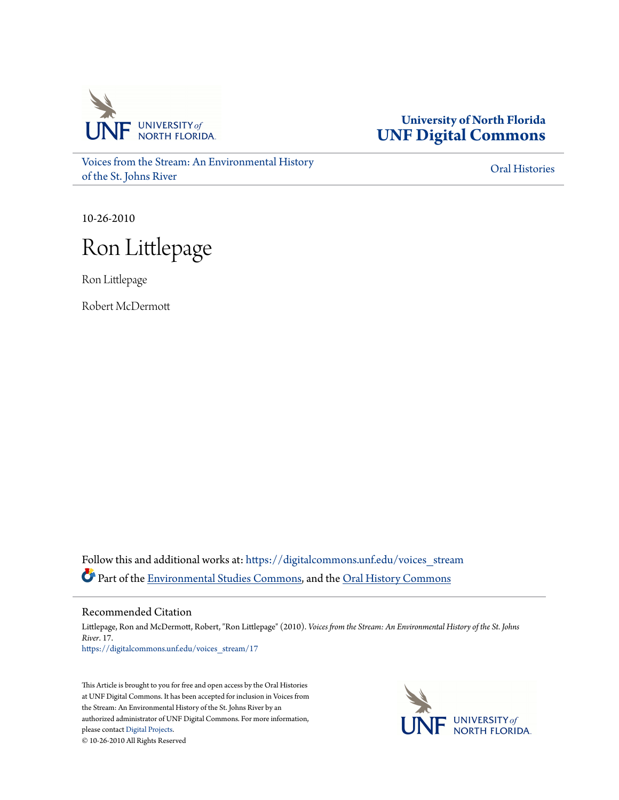

**University of North Florida [UNF Digital Commons](https://digitalcommons.unf.edu?utm_source=digitalcommons.unf.edu%2Fvoices_stream%2F17&utm_medium=PDF&utm_campaign=PDFCoverPages)**

[Voices from the Stream: An Environmental History](https://digitalcommons.unf.edu/voices_stream?utm_source=digitalcommons.unf.edu%2Fvoices_stream%2F17&utm_medium=PDF&utm_campaign=PDFCoverPages) [of the St. Johns River](https://digitalcommons.unf.edu/voices_stream?utm_source=digitalcommons.unf.edu%2Fvoices_stream%2F17&utm_medium=PDF&utm_campaign=PDFCoverPages)

[Oral Histories](https://digitalcommons.unf.edu/oral_histories?utm_source=digitalcommons.unf.edu%2Fvoices_stream%2F17&utm_medium=PDF&utm_campaign=PDFCoverPages)

10-26-2010

## Ron Littlepage

Ron Littlepage

Robert McDermott

Follow this and additional works at: [https://digitalcommons.unf.edu/voices\\_stream](https://digitalcommons.unf.edu/voices_stream?utm_source=digitalcommons.unf.edu%2Fvoices_stream%2F17&utm_medium=PDF&utm_campaign=PDFCoverPages) Part of the [Environmental Studies Commons](http://network.bepress.com/hgg/discipline/1333?utm_source=digitalcommons.unf.edu%2Fvoices_stream%2F17&utm_medium=PDF&utm_campaign=PDFCoverPages), and the [Oral History Commons](http://network.bepress.com/hgg/discipline/1195?utm_source=digitalcommons.unf.edu%2Fvoices_stream%2F17&utm_medium=PDF&utm_campaign=PDFCoverPages)

Recommended Citation

Littlepage, Ron and McDermott, Robert, "Ron Littlepage" (2010). *Voices from the Stream: An Environmental History of the St. Johns River*. 17. [https://digitalcommons.unf.edu/voices\\_stream/17](https://digitalcommons.unf.edu/voices_stream/17?utm_source=digitalcommons.unf.edu%2Fvoices_stream%2F17&utm_medium=PDF&utm_campaign=PDFCoverPages)

This Article is brought to you for free and open access by the Oral Histories at UNF Digital Commons. It has been accepted for inclusion in Voices from the Stream: An Environmental History of the St. Johns River by an authorized administrator of UNF Digital Commons. For more information, please contact [Digital Projects.](mailto:lib-digital@unf.edu) © 10-26-2010 All Rights Reserved

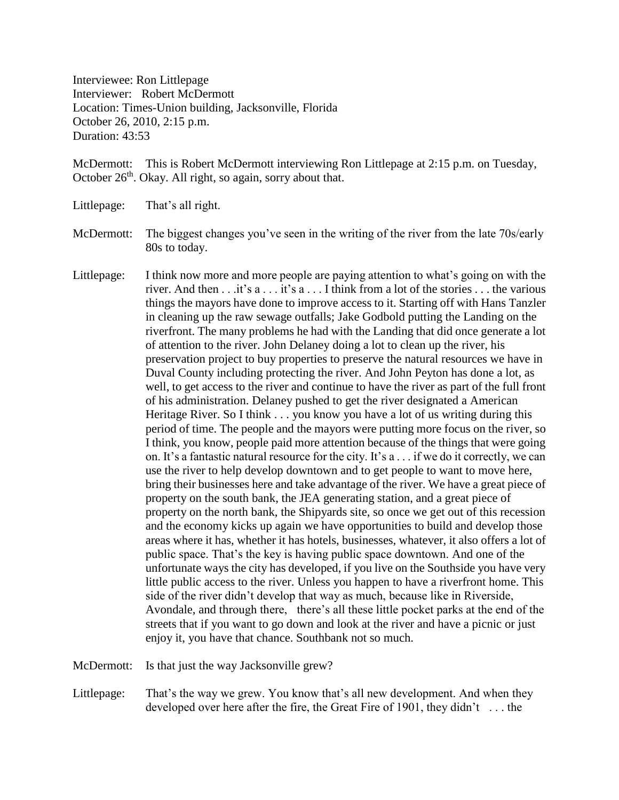Interviewee: Ron Littlepage Interviewer: Robert McDermott Location: Times-Union building, Jacksonville, Florida October 26, 2010, 2:15 p.m. Duration: 43:53

McDermott: This is Robert McDermott interviewing Ron Littlepage at 2:15 p.m. on Tuesday, October 26<sup>th</sup>. Okay. All right, so again, sorry about that.

Littlepage: That's all right.

- McDermott: The biggest changes you've seen in the writing of the river from the late 70s/early 80s to today.
- Littlepage: I think now more and more people are paying attention to what's going on with the river. And then . . .it's a . . . it's a . . . I think from a lot of the stories . . . the various things the mayors have done to improve access to it. Starting off with Hans Tanzler in cleaning up the raw sewage outfalls; Jake Godbold putting the Landing on the riverfront. The many problems he had with the Landing that did once generate a lot of attention to the river. John Delaney doing a lot to clean up the river, his preservation project to buy properties to preserve the natural resources we have in Duval County including protecting the river. And John Peyton has done a lot, as well, to get access to the river and continue to have the river as part of the full front of his administration. Delaney pushed to get the river designated a American Heritage River. So I think . . . you know you have a lot of us writing during this period of time. The people and the mayors were putting more focus on the river, so I think, you know, people paid more attention because of the things that were going on. It's a fantastic natural resource for the city. It's  $a \dots$  if we do it correctly, we can use the river to help develop downtown and to get people to want to move here, bring their businesses here and take advantage of the river. We have a great piece of property on the south bank, the JEA generating station, and a great piece of property on the north bank, the Shipyards site, so once we get out of this recession and the economy kicks up again we have opportunities to build and develop those areas where it has, whether it has hotels, businesses, whatever, it also offers a lot of public space. That's the key is having public space downtown. And one of the unfortunate ways the city has developed, if you live on the Southside you have very little public access to the river. Unless you happen to have a riverfront home. This side of the river didn't develop that way as much, because like in Riverside, Avondale, and through there, there's all these little pocket parks at the end of the streets that if you want to go down and look at the river and have a picnic or just enjoy it, you have that chance. Southbank not so much.

McDermott: Is that just the way Jacksonville grew?

Littlepage: That's the way we grew. You know that's all new development. And when they developed over here after the fire, the Great Fire of 1901, they didn't . . . the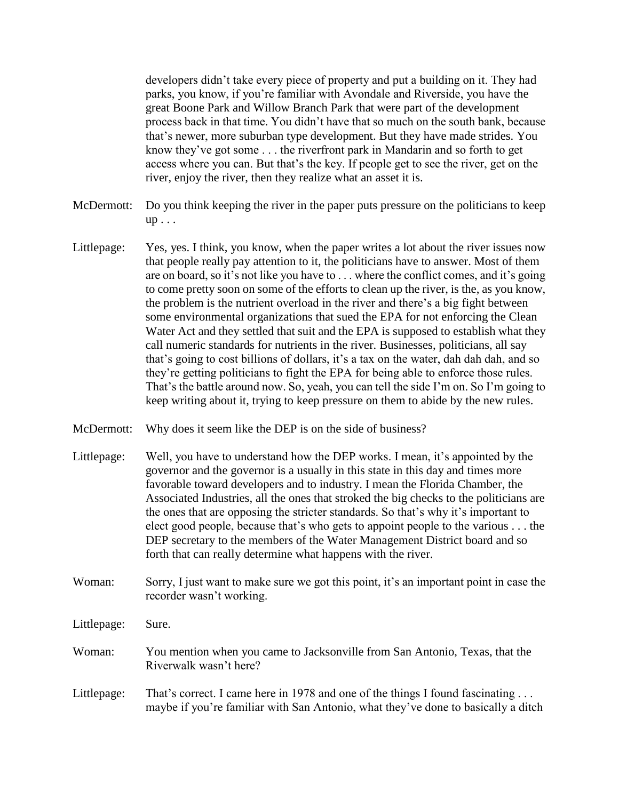developers didn't take every piece of property and put a building on it. They had parks, you know, if you're familiar with Avondale and Riverside, you have the great Boone Park and Willow Branch Park that were part of the development process back in that time. You didn't have that so much on the south bank, because that's newer, more suburban type development. But they have made strides. You know they've got some . . . the riverfront park in Mandarin and so forth to get access where you can. But that's the key. If people get to see the river, get on the river, enjoy the river, then they realize what an asset it is.

- McDermott: Do you think keeping the river in the paper puts pressure on the politicians to keep up . . .
- Littlepage: Yes, yes. I think, you know, when the paper writes a lot about the river issues now that people really pay attention to it, the politicians have to answer. Most of them are on board, so it's not like you have to . . . where the conflict comes, and it's going to come pretty soon on some of the efforts to clean up the river, is the, as you know, the problem is the nutrient overload in the river and there's a big fight between some environmental organizations that sued the EPA for not enforcing the Clean Water Act and they settled that suit and the EPA is supposed to establish what they call numeric standards for nutrients in the river. Businesses, politicians, all say that's going to cost billions of dollars, it's a tax on the water, dah dah dah, and so they're getting politicians to fight the EPA for being able to enforce those rules. That's the battle around now. So, yeah, you can tell the side I'm on. So I'm going to keep writing about it, trying to keep pressure on them to abide by the new rules.
- McDermott: Why does it seem like the DEP is on the side of business?
- Littlepage: Well, you have to understand how the DEP works. I mean, it's appointed by the governor and the governor is a usually in this state in this day and times more favorable toward developers and to industry. I mean the Florida Chamber, the Associated Industries, all the ones that stroked the big checks to the politicians are the ones that are opposing the stricter standards. So that's why it's important to elect good people, because that's who gets to appoint people to the various . . . the DEP secretary to the members of the Water Management District board and so forth that can really determine what happens with the river.
- Woman: Sorry, I just want to make sure we got this point, it's an important point in case the recorder wasn't working.
- Littlepage: Sure.
- Woman: You mention when you came to Jacksonville from San Antonio, Texas, that the Riverwalk wasn't here?
- Littlepage: That's correct. I came here in 1978 and one of the things I found fascinating ... maybe if you're familiar with San Antonio, what they've done to basically a ditch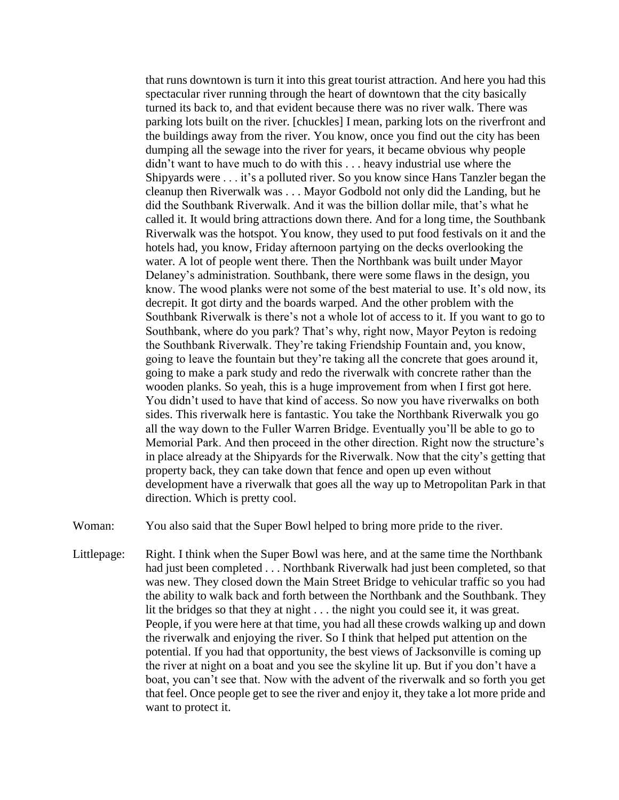that runs downtown is turn it into this great tourist attraction. And here you had this spectacular river running through the heart of downtown that the city basically turned its back to, and that evident because there was no river walk. There was parking lots built on the river. [chuckles] I mean, parking lots on the riverfront and the buildings away from the river. You know, once you find out the city has been dumping all the sewage into the river for years, it became obvious why people didn't want to have much to do with this . . . heavy industrial use where the Shipyards were . . . it's a polluted river. So you know since Hans Tanzler began the cleanup then Riverwalk was . . . Mayor Godbold not only did the Landing, but he did the Southbank Riverwalk. And it was the billion dollar mile, that's what he called it. It would bring attractions down there. And for a long time, the Southbank Riverwalk was the hotspot. You know, they used to put food festivals on it and the hotels had, you know, Friday afternoon partying on the decks overlooking the water. A lot of people went there. Then the Northbank was built under Mayor Delaney's administration. Southbank, there were some flaws in the design, you know. The wood planks were not some of the best material to use. It's old now, its decrepit. It got dirty and the boards warped. And the other problem with the Southbank Riverwalk is there's not a whole lot of access to it. If you want to go to Southbank, where do you park? That's why, right now, Mayor Peyton is redoing the Southbank Riverwalk. They're taking Friendship Fountain and, you know, going to leave the fountain but they're taking all the concrete that goes around it, going to make a park study and redo the riverwalk with concrete rather than the wooden planks. So yeah, this is a huge improvement from when I first got here. You didn't used to have that kind of access. So now you have riverwalks on both sides. This riverwalk here is fantastic. You take the Northbank Riverwalk you go all the way down to the Fuller Warren Bridge. Eventually you'll be able to go to Memorial Park. And then proceed in the other direction. Right now the structure's in place already at the Shipyards for the Riverwalk. Now that the city's getting that property back, they can take down that fence and open up even without development have a riverwalk that goes all the way up to Metropolitan Park in that direction. Which is pretty cool.

Woman: You also said that the Super Bowl helped to bring more pride to the river.

Littlepage: Right. I think when the Super Bowl was here, and at the same time the Northbank had just been completed . . . Northbank Riverwalk had just been completed, so that was new. They closed down the Main Street Bridge to vehicular traffic so you had the ability to walk back and forth between the Northbank and the Southbank. They lit the bridges so that they at night . . . the night you could see it, it was great. People, if you were here at that time, you had all these crowds walking up and down the riverwalk and enjoying the river. So I think that helped put attention on the potential. If you had that opportunity, the best views of Jacksonville is coming up the river at night on a boat and you see the skyline lit up. But if you don't have a boat, you can't see that. Now with the advent of the riverwalk and so forth you get that feel. Once people get to see the river and enjoy it, they take a lot more pride and want to protect it.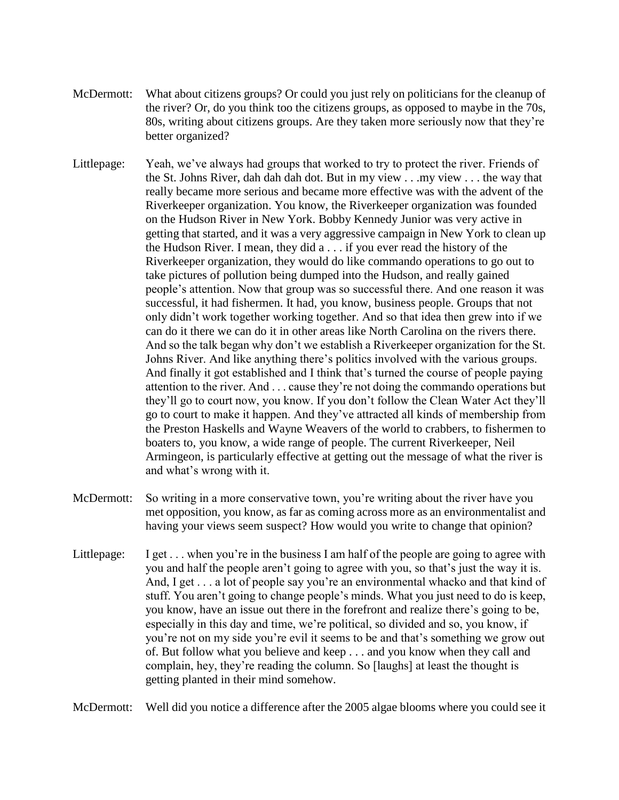- McDermott: What about citizens groups? Or could you just rely on politicians for the cleanup of the river? Or, do you think too the citizens groups, as opposed to maybe in the 70s, 80s, writing about citizens groups. Are they taken more seriously now that they're better organized?
- Littlepage: Yeah, we've always had groups that worked to try to protect the river. Friends of the St. Johns River, dah dah dah dot. But in my view . . .my view . . . the way that really became more serious and became more effective was with the advent of the Riverkeeper organization. You know, the Riverkeeper organization was founded on the Hudson River in New York. Bobby Kennedy Junior was very active in getting that started, and it was a very aggressive campaign in New York to clean up the Hudson River. I mean, they did a . . . if you ever read the history of the Riverkeeper organization, they would do like commando operations to go out to take pictures of pollution being dumped into the Hudson, and really gained people's attention. Now that group was so successful there. And one reason it was successful, it had fishermen. It had, you know, business people. Groups that not only didn't work together working together. And so that idea then grew into if we can do it there we can do it in other areas like North Carolina on the rivers there. And so the talk began why don't we establish a Riverkeeper organization for the St. Johns River. And like anything there's politics involved with the various groups. And finally it got established and I think that's turned the course of people paying attention to the river. And . . . cause they're not doing the commando operations but they'll go to court now, you know. If you don't follow the Clean Water Act they'll go to court to make it happen. And they've attracted all kinds of membership from the Preston Haskells and Wayne Weavers of the world to crabbers, to fishermen to boaters to, you know, a wide range of people. The current Riverkeeper, Neil Armingeon, is particularly effective at getting out the message of what the river is and what's wrong with it.
- McDermott: So writing in a more conservative town, you're writing about the river have you met opposition, you know, as far as coming across more as an environmentalist and having your views seem suspect? How would you write to change that opinion?
- Littlepage: I get . . . when you're in the business I am half of the people are going to agree with you and half the people aren't going to agree with you, so that's just the way it is. And, I get . . . a lot of people say you're an environmental whacko and that kind of stuff. You aren't going to change people's minds. What you just need to do is keep, you know, have an issue out there in the forefront and realize there's going to be, especially in this day and time, we're political, so divided and so, you know, if you're not on my side you're evil it seems to be and that's something we grow out of. But follow what you believe and keep . . . and you know when they call and complain, hey, they're reading the column. So [laughs] at least the thought is getting planted in their mind somehow.

McDermott: Well did you notice a difference after the 2005 algae blooms where you could see it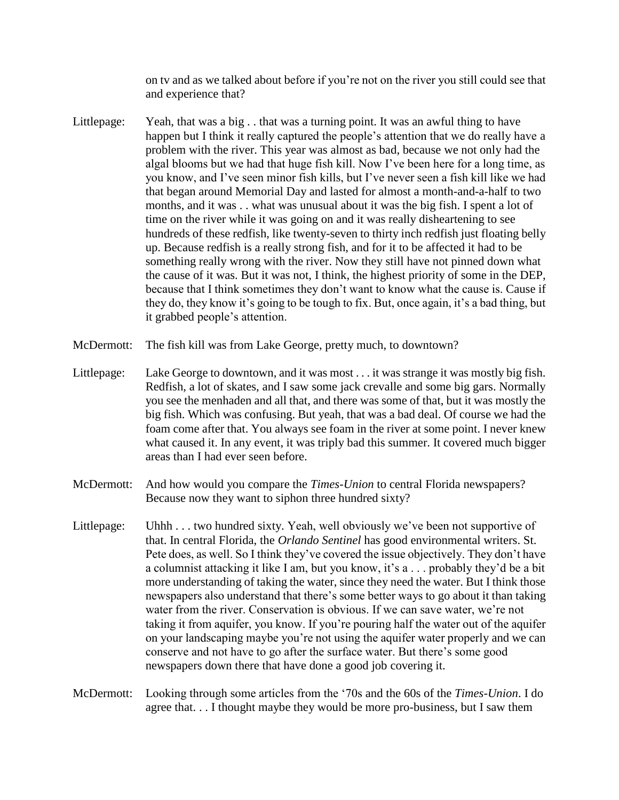on tv and as we talked about before if you're not on the river you still could see that and experience that?

- Littlepage: Yeah, that was a big . . that was a turning point. It was an awful thing to have happen but I think it really captured the people's attention that we do really have a problem with the river. This year was almost as bad, because we not only had the algal blooms but we had that huge fish kill. Now I've been here for a long time, as you know, and I've seen minor fish kills, but I've never seen a fish kill like we had that began around Memorial Day and lasted for almost a month-and-a-half to two months, and it was . . what was unusual about it was the big fish. I spent a lot of time on the river while it was going on and it was really disheartening to see hundreds of these redfish, like twenty-seven to thirty inch redfish just floating belly up. Because redfish is a really strong fish, and for it to be affected it had to be something really wrong with the river. Now they still have not pinned down what the cause of it was. But it was not, I think, the highest priority of some in the DEP, because that I think sometimes they don't want to know what the cause is. Cause if they do, they know it's going to be tough to fix. But, once again, it's a bad thing, but it grabbed people's attention.
- McDermott: The fish kill was from Lake George, pretty much, to downtown?
- Littlepage: Lake George to downtown, and it was most . . . it was strange it was mostly big fish. Redfish, a lot of skates, and I saw some jack crevalle and some big gars. Normally you see the menhaden and all that, and there was some of that, but it was mostly the big fish. Which was confusing. But yeah, that was a bad deal. Of course we had the foam come after that. You always see foam in the river at some point. I never knew what caused it. In any event, it was triply bad this summer. It covered much bigger areas than I had ever seen before.
- McDermott: And how would you compare the *Times-Union* to central Florida newspapers? Because now they want to siphon three hundred sixty?
- Littlepage: Uhhh . . . two hundred sixty. Yeah, well obviously we've been not supportive of that. In central Florida, the *Orlando Sentinel* has good environmental writers. St. Pete does, as well. So I think they've covered the issue objectively. They don't have a columnist attacking it like I am, but you know, it's a . . . probably they'd be a bit more understanding of taking the water, since they need the water. But I think those newspapers also understand that there's some better ways to go about it than taking water from the river. Conservation is obvious. If we can save water, we're not taking it from aquifer, you know. If you're pouring half the water out of the aquifer on your landscaping maybe you're not using the aquifer water properly and we can conserve and not have to go after the surface water. But there's some good newspapers down there that have done a good job covering it.

McDermott: Looking through some articles from the '70s and the 60s of the *Times-Union*. I do agree that. . . I thought maybe they would be more pro-business, but I saw them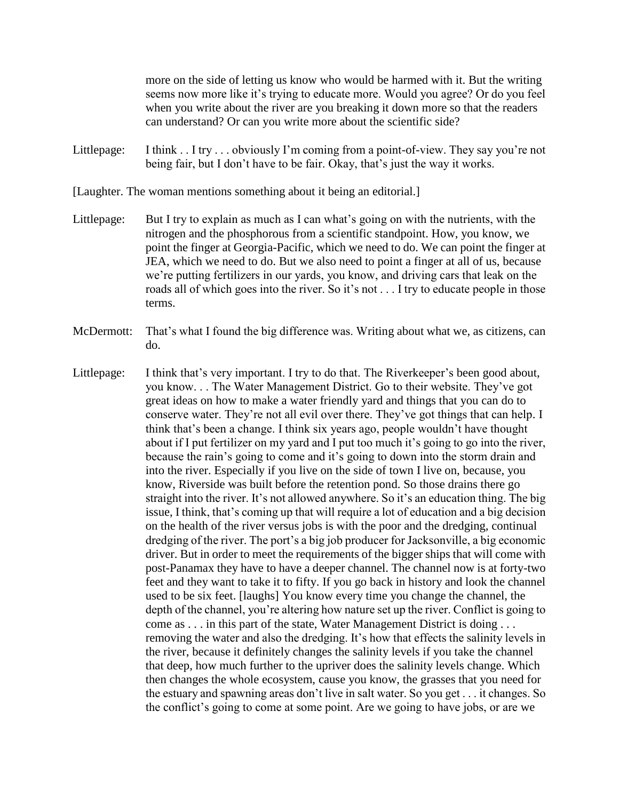more on the side of letting us know who would be harmed with it. But the writing seems now more like it's trying to educate more. Would you agree? Or do you feel when you write about the river are you breaking it down more so that the readers can understand? Or can you write more about the scientific side?

Littlepage: I think . . I try . . . obviously I'm coming from a point-of-view. They say you're not being fair, but I don't have to be fair. Okay, that's just the way it works.

[Laughter. The woman mentions something about it being an editorial.]

- Littlepage: But I try to explain as much as I can what's going on with the nutrients, with the nitrogen and the phosphorous from a scientific standpoint. How, you know, we point the finger at Georgia-Pacific, which we need to do. We can point the finger at JEA, which we need to do. But we also need to point a finger at all of us, because we're putting fertilizers in our yards, you know, and driving cars that leak on the roads all of which goes into the river. So it's not . . . I try to educate people in those terms.
- McDermott: That's what I found the big difference was. Writing about what we, as citizens, can do.
- Littlepage: I think that's very important. I try to do that. The Riverkeeper's been good about, you know. . . The Water Management District. Go to their website. They've got great ideas on how to make a water friendly yard and things that you can do to conserve water. They're not all evil over there. They've got things that can help. I think that's been a change. I think six years ago, people wouldn't have thought about if I put fertilizer on my yard and I put too much it's going to go into the river, because the rain's going to come and it's going to down into the storm drain and into the river. Especially if you live on the side of town I live on, because, you know, Riverside was built before the retention pond. So those drains there go straight into the river. It's not allowed anywhere. So it's an education thing. The big issue, I think, that's coming up that will require a lot of education and a big decision on the health of the river versus jobs is with the poor and the dredging, continual dredging of the river. The port's a big job producer for Jacksonville, a big economic driver. But in order to meet the requirements of the bigger ships that will come with post-Panamax they have to have a deeper channel. The channel now is at forty-two feet and they want to take it to fifty. If you go back in history and look the channel used to be six feet. [laughs] You know every time you change the channel, the depth of the channel, you're altering how nature set up the river. Conflict is going to come as . . . in this part of the state, Water Management District is doing . . . removing the water and also the dredging. It's how that effects the salinity levels in the river, because it definitely changes the salinity levels if you take the channel that deep, how much further to the upriver does the salinity levels change. Which then changes the whole ecosystem, cause you know, the grasses that you need for the estuary and spawning areas don't live in salt water. So you get . . . it changes. So the conflict's going to come at some point. Are we going to have jobs, or are we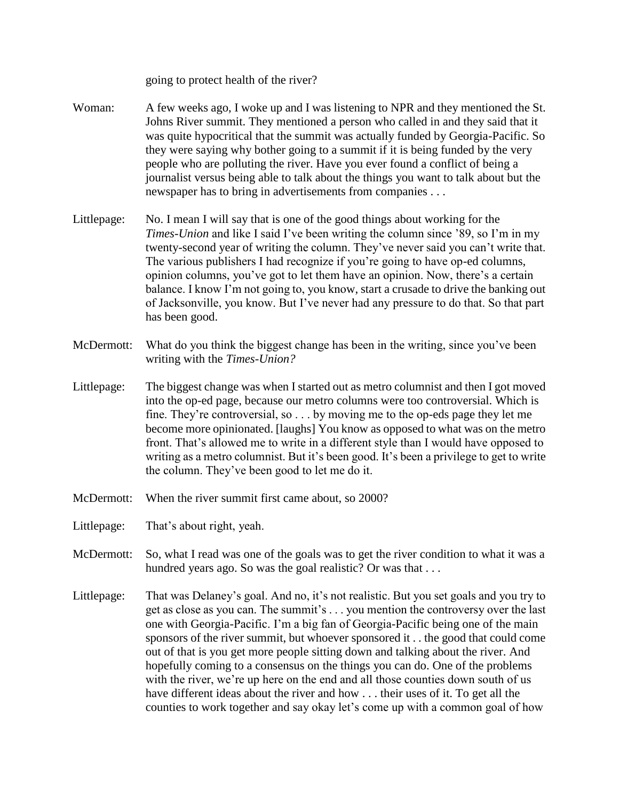going to protect health of the river?

- Woman: A few weeks ago, I woke up and I was listening to NPR and they mentioned the St. Johns River summit. They mentioned a person who called in and they said that it was quite hypocritical that the summit was actually funded by Georgia-Pacific. So they were saying why bother going to a summit if it is being funded by the very people who are polluting the river. Have you ever found a conflict of being a journalist versus being able to talk about the things you want to talk about but the newspaper has to bring in advertisements from companies . . .
- Littlepage: No. I mean I will say that is one of the good things about working for the *Times-Union* and like I said I've been writing the column since '89, so I'm in my twenty-second year of writing the column. They've never said you can't write that. The various publishers I had recognize if you're going to have op-ed columns, opinion columns, you've got to let them have an opinion. Now, there's a certain balance. I know I'm not going to, you know, start a crusade to drive the banking out of Jacksonville, you know. But I've never had any pressure to do that. So that part has been good.
- McDermott: What do you think the biggest change has been in the writing, since you've been writing with the *Times-Union?*
- Littlepage: The biggest change was when I started out as metro columnist and then I got moved into the op-ed page, because our metro columns were too controversial. Which is fine. They're controversial, so . . . by moving me to the op-eds page they let me become more opinionated. [laughs] You know as opposed to what was on the metro front. That's allowed me to write in a different style than I would have opposed to writing as a metro columnist. But it's been good. It's been a privilege to get to write the column. They've been good to let me do it.
- McDermott: When the river summit first came about, so 2000?
- Littlepage: That's about right, yeah.
- McDermott: So, what I read was one of the goals was to get the river condition to what it was a hundred years ago. So was the goal realistic? Or was that ...
- Littlepage: That was Delaney's goal. And no, it's not realistic. But you set goals and you try to get as close as you can. The summit's . . . you mention the controversy over the last one with Georgia-Pacific. I'm a big fan of Georgia-Pacific being one of the main sponsors of the river summit, but whoever sponsored it . . the good that could come out of that is you get more people sitting down and talking about the river. And hopefully coming to a consensus on the things you can do. One of the problems with the river, we're up here on the end and all those counties down south of us have different ideas about the river and how . . . their uses of it. To get all the counties to work together and say okay let's come up with a common goal of how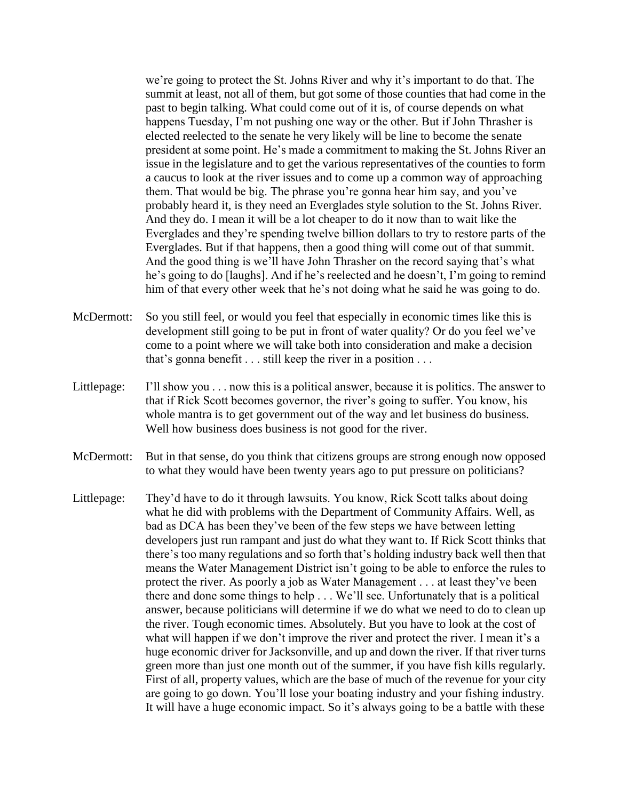we're going to protect the St. Johns River and why it's important to do that. The summit at least, not all of them, but got some of those counties that had come in the past to begin talking. What could come out of it is, of course depends on what happens Tuesday, I'm not pushing one way or the other. But if John Thrasher is elected reelected to the senate he very likely will be line to become the senate president at some point. He's made a commitment to making the St. Johns River an issue in the legislature and to get the various representatives of the counties to form a caucus to look at the river issues and to come up a common way of approaching them. That would be big. The phrase you're gonna hear him say, and you've probably heard it, is they need an Everglades style solution to the St. Johns River. And they do. I mean it will be a lot cheaper to do it now than to wait like the Everglades and they're spending twelve billion dollars to try to restore parts of the Everglades. But if that happens, then a good thing will come out of that summit. And the good thing is we'll have John Thrasher on the record saying that's what he's going to do [laughs]. And if he's reelected and he doesn't, I'm going to remind him of that every other week that he's not doing what he said he was going to do.

- McDermott: So you still feel, or would you feel that especially in economic times like this is development still going to be put in front of water quality? Or do you feel we've come to a point where we will take both into consideration and make a decision that's gonna benefit . . . still keep the river in a position . . .
- Littlepage: I'll show you . . . now this is a political answer, because it is politics. The answer to that if Rick Scott becomes governor, the river's going to suffer. You know, his whole mantra is to get government out of the way and let business do business. Well how business does business is not good for the river.
- McDermott: But in that sense, do you think that citizens groups are strong enough now opposed to what they would have been twenty years ago to put pressure on politicians?
- Littlepage: They'd have to do it through lawsuits. You know, Rick Scott talks about doing what he did with problems with the Department of Community Affairs. Well, as bad as DCA has been they've been of the few steps we have between letting developers just run rampant and just do what they want to. If Rick Scott thinks that there's too many regulations and so forth that's holding industry back well then that means the Water Management District isn't going to be able to enforce the rules to protect the river. As poorly a job as Water Management . . . at least they've been there and done some things to help . . . We'll see. Unfortunately that is a political answer, because politicians will determine if we do what we need to do to clean up the river. Tough economic times. Absolutely. But you have to look at the cost of what will happen if we don't improve the river and protect the river. I mean it's a huge economic driver for Jacksonville, and up and down the river. If that river turns green more than just one month out of the summer, if you have fish kills regularly. First of all, property values, which are the base of much of the revenue for your city are going to go down. You'll lose your boating industry and your fishing industry. It will have a huge economic impact. So it's always going to be a battle with these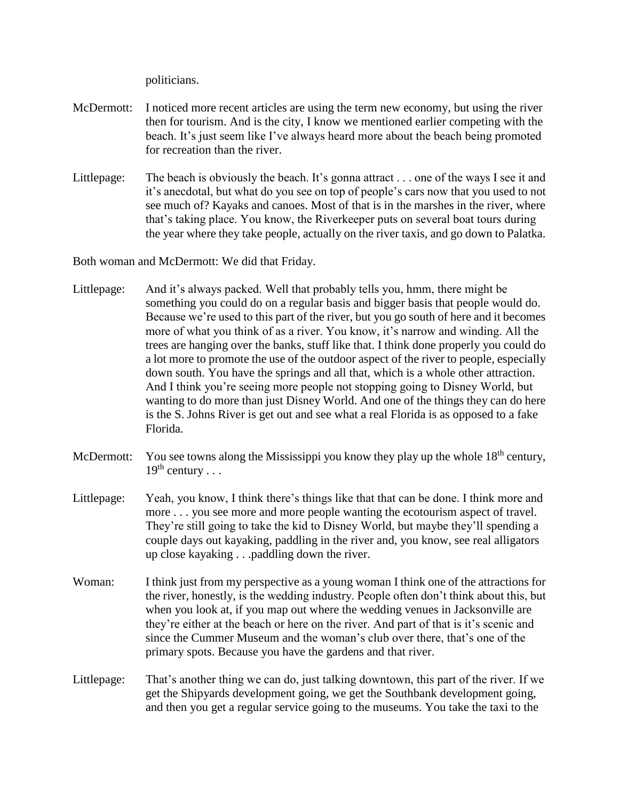politicians.

- McDermott: I noticed more recent articles are using the term new economy, but using the river then for tourism. And is the city, I know we mentioned earlier competing with the beach. It's just seem like I've always heard more about the beach being promoted for recreation than the river.
- Littlepage: The beach is obviously the beach. It's gonna attract . . . one of the ways I see it and it's anecdotal, but what do you see on top of people's cars now that you used to not see much of? Kayaks and canoes. Most of that is in the marshes in the river, where that's taking place. You know, the Riverkeeper puts on several boat tours during the year where they take people, actually on the river taxis, and go down to Palatka.

Both woman and McDermott: We did that Friday.

- Littlepage: And it's always packed. Well that probably tells you, hmm, there might be something you could do on a regular basis and bigger basis that people would do. Because we're used to this part of the river, but you go south of here and it becomes more of what you think of as a river. You know, it's narrow and winding. All the trees are hanging over the banks, stuff like that. I think done properly you could do a lot more to promote the use of the outdoor aspect of the river to people, especially down south. You have the springs and all that, which is a whole other attraction. And I think you're seeing more people not stopping going to Disney World, but wanting to do more than just Disney World. And one of the things they can do here is the S. Johns River is get out and see what a real Florida is as opposed to a fake Florida.
- McDermott: You see towns along the Mississippi you know they play up the whole  $18<sup>th</sup>$  century,  $19^{th}$  century . . .
- Littlepage: Yeah, you know, I think there's things like that that can be done. I think more and more . . . you see more and more people wanting the ecotourism aspect of travel. They're still going to take the kid to Disney World, but maybe they'll spending a couple days out kayaking, paddling in the river and, you know, see real alligators up close kayaking . . .paddling down the river.
- Woman: I think just from my perspective as a young woman I think one of the attractions for the river, honestly, is the wedding industry. People often don't think about this, but when you look at, if you map out where the wedding venues in Jacksonville are they're either at the beach or here on the river. And part of that is it's scenic and since the Cummer Museum and the woman's club over there, that's one of the primary spots. Because you have the gardens and that river.
- Littlepage: That's another thing we can do, just talking downtown, this part of the river. If we get the Shipyards development going, we get the Southbank development going, and then you get a regular service going to the museums. You take the taxi to the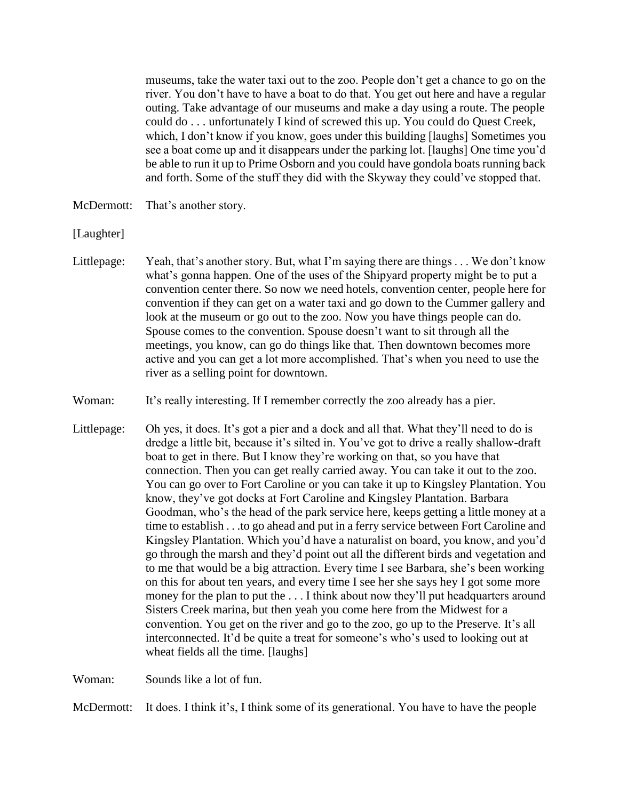museums, take the water taxi out to the zoo. People don't get a chance to go on the river. You don't have to have a boat to do that. You get out here and have a regular outing. Take advantage of our museums and make a day using a route. The people could do . . . unfortunately I kind of screwed this up. You could do Quest Creek, which, I don't know if you know, goes under this building [laughs] Sometimes you see a boat come up and it disappears under the parking lot. [laughs] One time you'd be able to run it up to Prime Osborn and you could have gondola boats running back and forth. Some of the stuff they did with the Skyway they could've stopped that.

- McDermott: That's another story.
- [Laughter]
- Littlepage: Yeah, that's another story. But, what I'm saying there are things . . . We don't know what's gonna happen. One of the uses of the Shipyard property might be to put a convention center there. So now we need hotels, convention center, people here for convention if they can get on a water taxi and go down to the Cummer gallery and look at the museum or go out to the zoo. Now you have things people can do. Spouse comes to the convention. Spouse doesn't want to sit through all the meetings, you know, can go do things like that. Then downtown becomes more active and you can get a lot more accomplished. That's when you need to use the river as a selling point for downtown.
- Woman: It's really interesting. If I remember correctly the zoo already has a pier.
- Littlepage: Oh yes, it does. It's got a pier and a dock and all that. What they'll need to do is dredge a little bit, because it's silted in. You've got to drive a really shallow-draft boat to get in there. But I know they're working on that, so you have that connection. Then you can get really carried away. You can take it out to the zoo. You can go over to Fort Caroline or you can take it up to Kingsley Plantation. You know, they've got docks at Fort Caroline and Kingsley Plantation. Barbara Goodman, who's the head of the park service here, keeps getting a little money at a time to establish . . .to go ahead and put in a ferry service between Fort Caroline and Kingsley Plantation. Which you'd have a naturalist on board, you know, and you'd go through the marsh and they'd point out all the different birds and vegetation and to me that would be a big attraction. Every time I see Barbara, she's been working on this for about ten years, and every time I see her she says hey I got some more money for the plan to put the . . . I think about now they'll put headquarters around Sisters Creek marina, but then yeah you come here from the Midwest for a convention. You get on the river and go to the zoo, go up to the Preserve. It's all interconnected. It'd be quite a treat for someone's who's used to looking out at wheat fields all the time. [laughs]

Woman: Sounds like a lot of fun.

McDermott: It does. I think it's, I think some of its generational. You have to have the people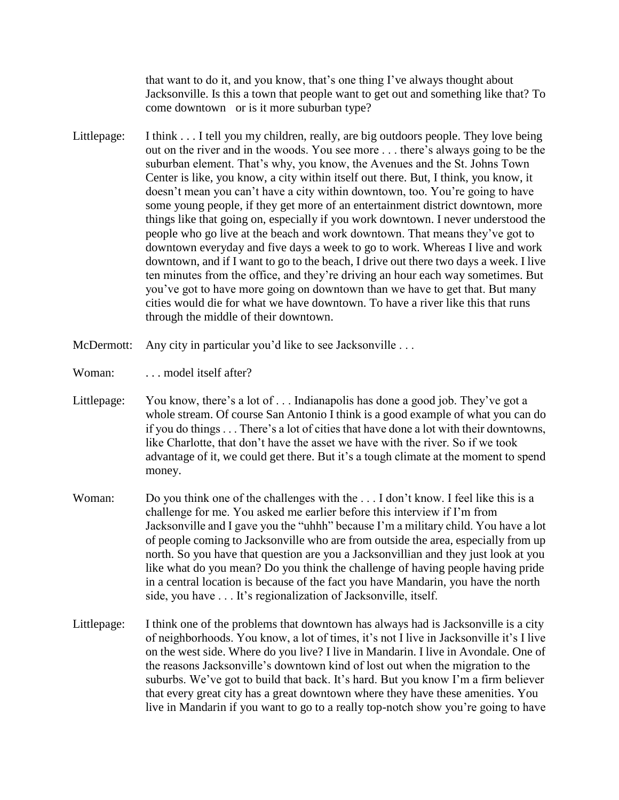that want to do it, and you know, that's one thing I've always thought about Jacksonville. Is this a town that people want to get out and something like that? To come downtown or is it more suburban type?

- Littlepage: I think . . . I tell you my children, really, are big outdoors people. They love being out on the river and in the woods. You see more . . . there's always going to be the suburban element. That's why, you know, the Avenues and the St. Johns Town Center is like, you know, a city within itself out there. But, I think, you know, it doesn't mean you can't have a city within downtown, too. You're going to have some young people, if they get more of an entertainment district downtown, more things like that going on, especially if you work downtown. I never understood the people who go live at the beach and work downtown. That means they've got to downtown everyday and five days a week to go to work. Whereas I live and work downtown, and if I want to go to the beach, I drive out there two days a week. I live ten minutes from the office, and they're driving an hour each way sometimes. But you've got to have more going on downtown than we have to get that. But many cities would die for what we have downtown. To have a river like this that runs through the middle of their downtown.
- McDermott: Any city in particular you'd like to see Jacksonville ...
- Woman: ... model itself after?
- Littlepage: You know, there's a lot of ... Indianapolis has done a good job. They've got a whole stream. Of course San Antonio I think is a good example of what you can do if you do things . . . There's a lot of cities that have done a lot with their downtowns, like Charlotte, that don't have the asset we have with the river. So if we took advantage of it, we could get there. But it's a tough climate at the moment to spend money.
- Woman: Do you think one of the challenges with the ... I don't know. I feel like this is a challenge for me. You asked me earlier before this interview if I'm from Jacksonville and I gave you the "uhhh" because I'm a military child. You have a lot of people coming to Jacksonville who are from outside the area, especially from up north. So you have that question are you a Jacksonvillian and they just look at you like what do you mean? Do you think the challenge of having people having pride in a central location is because of the fact you have Mandarin, you have the north side, you have . . . It's regionalization of Jacksonville, itself.
- Littlepage: I think one of the problems that downtown has always had is Jacksonville is a city of neighborhoods. You know, a lot of times, it's not I live in Jacksonville it's I live on the west side. Where do you live? I live in Mandarin. I live in Avondale. One of the reasons Jacksonville's downtown kind of lost out when the migration to the suburbs. We've got to build that back. It's hard. But you know I'm a firm believer that every great city has a great downtown where they have these amenities. You live in Mandarin if you want to go to a really top-notch show you're going to have